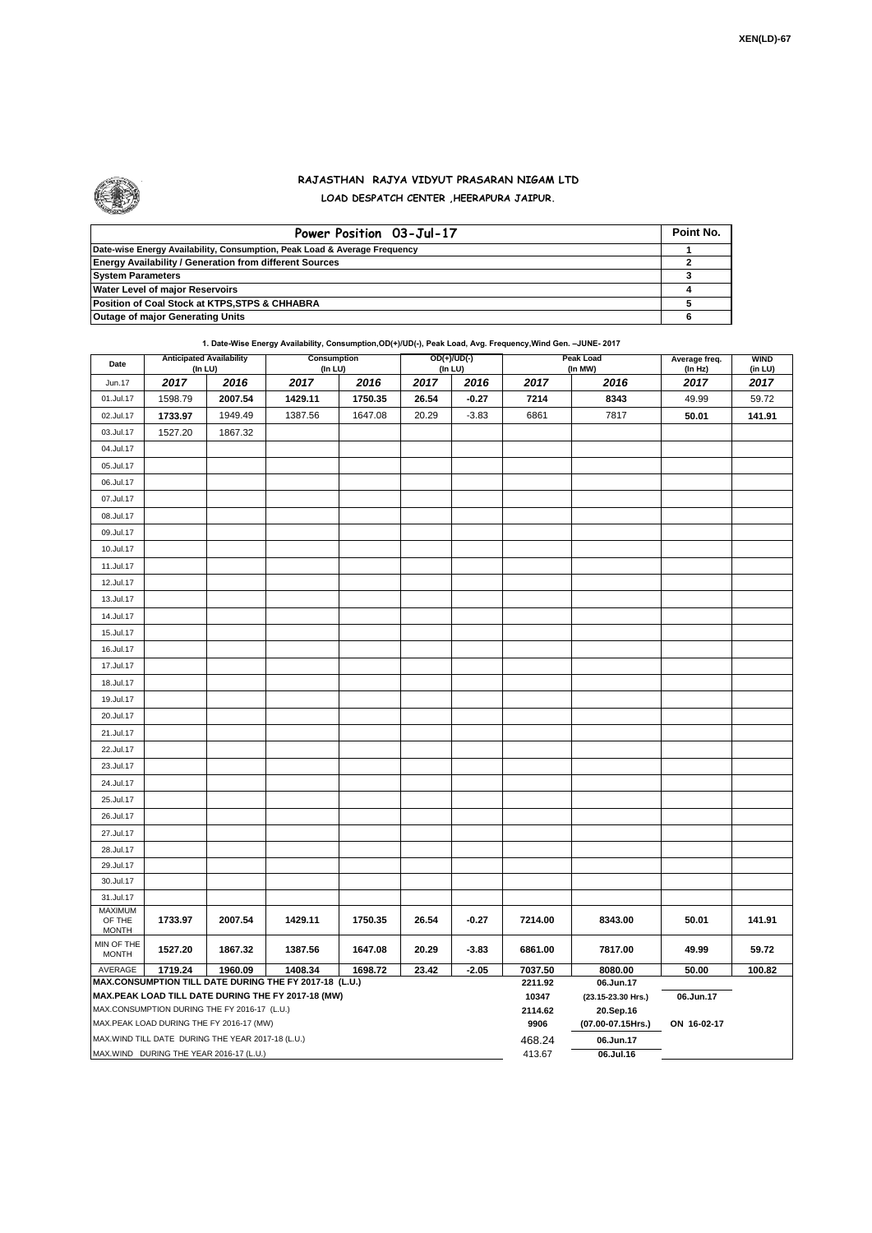

## **RAJASTHAN RAJYA VIDYUT PRASARAN NIGAM LTD LOAD DESPATCH CENTER ,HEERAPURA JAIPUR.**

| Power Position 03-Jul-17                                                  | Point No. |
|---------------------------------------------------------------------------|-----------|
| Date-wise Energy Availability, Consumption, Peak Load & Average Frequency |           |
| <b>Energy Availability / Generation from different Sources</b>            |           |
| <b>System Parameters</b>                                                  |           |
| <b>Water Level of major Reservoirs</b>                                    |           |
| Position of Coal Stock at KTPS, STPS & CHHABRA                            |           |
| <b>Outage of major Generating Units</b>                                   |           |

**1. Date-Wise Energy Availability, Consumption,OD(+)/UD(-), Peak Load, Avg. Frequency,Wind Gen. –JUNE- 2017**

| Date                                                                                                         | <b>Anticipated Availability</b><br>(In LU) |                                                   | Consumption<br>(In LU) |         |       | OD(+)/UD(-)<br>(In LU) |                  | Peak Load<br>(In MW)            | Average freq.<br>(ln Hz) | <b>WIND</b><br>(in LU) |  |  |  |
|--------------------------------------------------------------------------------------------------------------|--------------------------------------------|---------------------------------------------------|------------------------|---------|-------|------------------------|------------------|---------------------------------|--------------------------|------------------------|--|--|--|
| Jun.17                                                                                                       | 2017                                       | 2016                                              | 2017                   | 2016    | 2017  | 2016                   | 2017             | 2016                            | 2017                     | 2017                   |  |  |  |
| 01.Jul.17                                                                                                    | 1598.79                                    | 2007.54                                           | 1429.11                | 1750.35 | 26.54 | $-0.27$                | 7214             | 8343                            | 49.99                    | 59.72                  |  |  |  |
| 02.Jul.17                                                                                                    | 1733.97                                    | 1949.49                                           | 1387.56                | 1647.08 | 20.29 | $-3.83$                | 6861             | 7817                            | 50.01                    | 141.91                 |  |  |  |
| 03.Jul.17                                                                                                    | 1527.20                                    | 1867.32                                           |                        |         |       |                        |                  |                                 |                          |                        |  |  |  |
| 04.Jul.17                                                                                                    |                                            |                                                   |                        |         |       |                        |                  |                                 |                          |                        |  |  |  |
| 05.Jul.17                                                                                                    |                                            |                                                   |                        |         |       |                        |                  |                                 |                          |                        |  |  |  |
| 06.Jul.17                                                                                                    |                                            |                                                   |                        |         |       |                        |                  |                                 |                          |                        |  |  |  |
| 07.Jul.17                                                                                                    |                                            |                                                   |                        |         |       |                        |                  |                                 |                          |                        |  |  |  |
| 08.Jul.17                                                                                                    |                                            |                                                   |                        |         |       |                        |                  |                                 |                          |                        |  |  |  |
| 09.Jul.17                                                                                                    |                                            |                                                   |                        |         |       |                        |                  |                                 |                          |                        |  |  |  |
| 10.Jul.17                                                                                                    |                                            |                                                   |                        |         |       |                        |                  |                                 |                          |                        |  |  |  |
| 11.Jul.17                                                                                                    |                                            |                                                   |                        |         |       |                        |                  |                                 |                          |                        |  |  |  |
| 12.Jul.17                                                                                                    |                                            |                                                   |                        |         |       |                        |                  |                                 |                          |                        |  |  |  |
| 13.Jul.17                                                                                                    |                                            |                                                   |                        |         |       |                        |                  |                                 |                          |                        |  |  |  |
| 14.Jul.17                                                                                                    |                                            |                                                   |                        |         |       |                        |                  |                                 |                          |                        |  |  |  |
| 15.Jul.17                                                                                                    |                                            |                                                   |                        |         |       |                        |                  |                                 |                          |                        |  |  |  |
| 16.Jul.17                                                                                                    |                                            |                                                   |                        |         |       |                        |                  |                                 |                          |                        |  |  |  |
| 17.Jul.17                                                                                                    |                                            |                                                   |                        |         |       |                        |                  |                                 |                          |                        |  |  |  |
| 18.Jul.17                                                                                                    |                                            |                                                   |                        |         |       |                        |                  |                                 |                          |                        |  |  |  |
| 19.Jul.17                                                                                                    |                                            |                                                   |                        |         |       |                        |                  |                                 |                          |                        |  |  |  |
| 20.Jul.17                                                                                                    |                                            |                                                   |                        |         |       |                        |                  |                                 |                          |                        |  |  |  |
| 21.Jul.17                                                                                                    |                                            |                                                   |                        |         |       |                        |                  |                                 |                          |                        |  |  |  |
| 22.Jul.17                                                                                                    |                                            |                                                   |                        |         |       |                        |                  |                                 |                          |                        |  |  |  |
| 23.Jul.17                                                                                                    |                                            |                                                   |                        |         |       |                        |                  |                                 |                          |                        |  |  |  |
| 24.Jul.17                                                                                                    |                                            |                                                   |                        |         |       |                        |                  |                                 |                          |                        |  |  |  |
| 25.Jul.17                                                                                                    |                                            |                                                   |                        |         |       |                        |                  |                                 |                          |                        |  |  |  |
| 26.Jul.17                                                                                                    |                                            |                                                   |                        |         |       |                        |                  |                                 |                          |                        |  |  |  |
| 27.Jul.17                                                                                                    |                                            |                                                   |                        |         |       |                        |                  |                                 |                          |                        |  |  |  |
| 28.Jul.17                                                                                                    |                                            |                                                   |                        |         |       |                        |                  |                                 |                          |                        |  |  |  |
| 29.Jul.17                                                                                                    |                                            |                                                   |                        |         |       |                        |                  |                                 |                          |                        |  |  |  |
| 30.Jul.17                                                                                                    |                                            |                                                   |                        |         |       |                        |                  |                                 |                          |                        |  |  |  |
| 31.Jul.17                                                                                                    |                                            |                                                   |                        |         |       |                        |                  |                                 |                          |                        |  |  |  |
| MAXIMUM<br>OF THE                                                                                            | 1733.97                                    | 2007.54                                           | 1429.11                | 1750.35 | 26.54 | $-0.27$                | 7214.00          | 8343.00                         | 50.01                    | 141.91                 |  |  |  |
| <b>MONTH</b>                                                                                                 |                                            |                                                   |                        |         |       |                        |                  |                                 |                          |                        |  |  |  |
| MIN OF THE<br><b>MONTH</b>                                                                                   | 1527.20                                    | 1867.32                                           | 1387.56                | 1647.08 | 20.29 | $-3.83$                | 6861.00          | 7817.00                         | 49.99                    | 59.72                  |  |  |  |
| 1719.24<br>1960.09<br>1408.34<br>1698.72<br>23.42<br>$-2.05$<br>AVERAGE                                      |                                            |                                                   |                        |         |       |                        | 7037.50          | 8080.00                         | 50.00<br>100.82          |                        |  |  |  |
| MAX.CONSUMPTION TILL DATE DURING THE FY 2017-18 (L.U.)<br>MAX.PEAK LOAD TILL DATE DURING THE FY 2017-18 (MW) |                                            |                                                   |                        |         |       |                        | 2211.92<br>10347 | 06.Jun.17<br>(23.15-23.30 Hrs.) | 06.Jun.17                |                        |  |  |  |
|                                                                                                              |                                            | MAX.CONSUMPTION DURING THE FY 2016-17 (L.U.)      |                        |         |       |                        | 2114.62          | 20.Sep.16                       |                          |                        |  |  |  |
|                                                                                                              |                                            | MAX.PEAK LOAD DURING THE FY 2016-17 (MW)          |                        |         |       |                        | 9906             | (07.00-07.15Hrs.)               | ON 16-02-17              |                        |  |  |  |
|                                                                                                              |                                            | MAX.WIND TILL DATE DURING THE YEAR 2017-18 (L.U.) |                        |         |       |                        | 468.24           | 06.Jun.17                       |                          |                        |  |  |  |
| MAX.WIND DURING THE YEAR 2016-17 (L.U.)                                                                      |                                            |                                                   |                        |         |       |                        |                  | 06.Jul.16                       |                          |                        |  |  |  |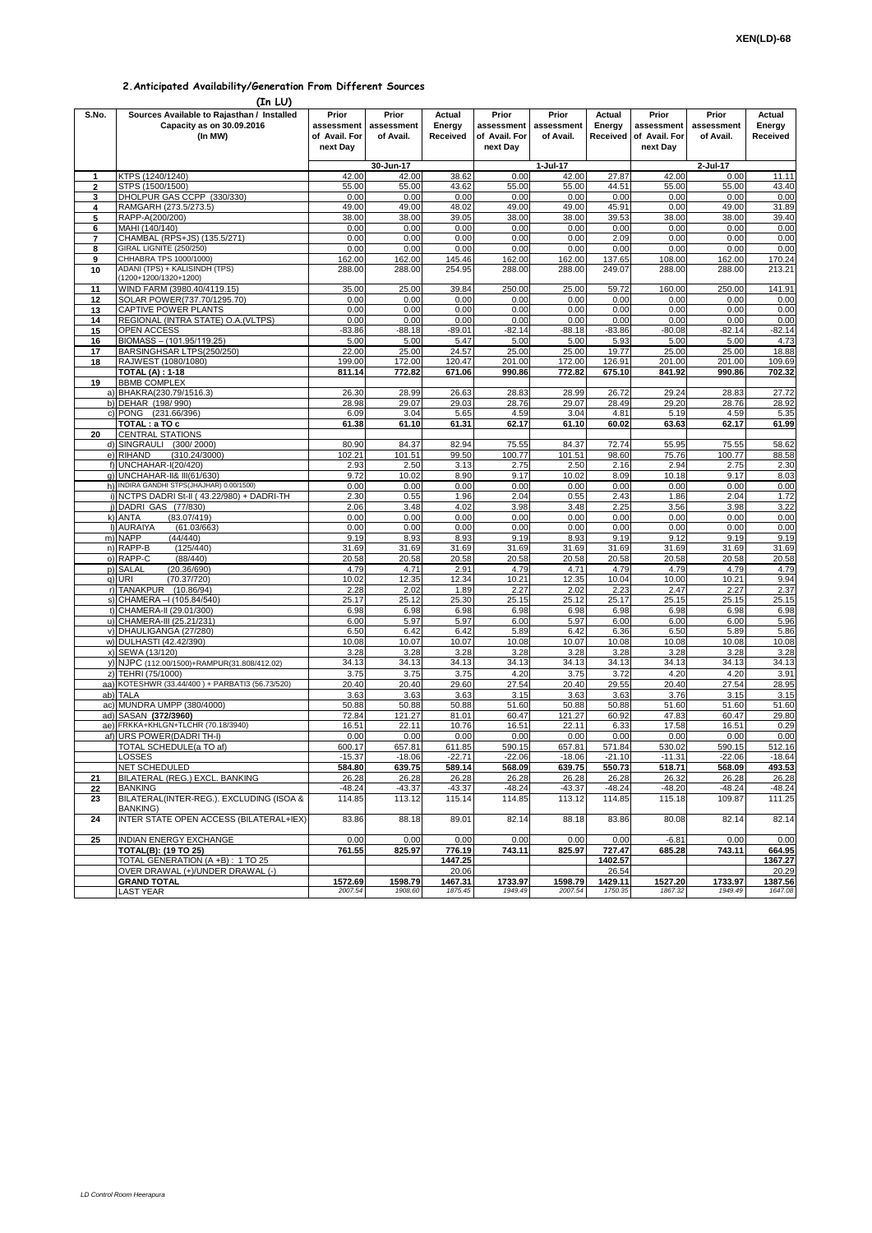## **2.Anticipated Availability/Generation From Different Sources**

**(In LU)**

| S.No.        | Sources Available to Rajasthan / Installed                               | Prior                       | Prior                   | Actual             | Prior                                                  | Prior              | Actual             | Prior                       | Prior                   | Actual             |  |
|--------------|--------------------------------------------------------------------------|-----------------------------|-------------------------|--------------------|--------------------------------------------------------|--------------------|--------------------|-----------------------------|-------------------------|--------------------|--|
|              | Capacity as on 30.09.2016<br>(In MW)                                     | assessment<br>of Avail. For | assessment<br>of Avail. | Energy<br>Received | assessment<br>assessment<br>of Avail. For<br>of Avail. |                    | Energy<br>Received | assessment<br>of Avail. For | assessment<br>of Avail. | Energy<br>Received |  |
|              |                                                                          | next Day                    |                         |                    | next Day                                               |                    |                    | next Dav                    |                         |                    |  |
|              |                                                                          |                             |                         |                    |                                                        |                    |                    |                             |                         |                    |  |
| 1            | KTPS (1240/1240)                                                         | 42.00                       | 30-Jun-17<br>42.00      | 38.62              | 0.00                                                   | 1-Jul-17<br>42.00  | 27.87              | 42.00                       | 2-Jul-17<br>0.00        | 11.11              |  |
| $\mathbf{2}$ | STPS (1500/1500)                                                         | 55.00                       | 55.00                   | 43.62              | 55.00                                                  | 55.00              | 44.51              | 55.00                       | 55.00                   | 43.40              |  |
| 3            | DHOLPUR GAS CCPP (330/330)                                               | 0.00                        | 0.00                    | 0.00               | 0.00                                                   | 0.00               | 0.00               | 0.00                        | 0.00                    | 0.00               |  |
| 4<br>5       | RAMGARH (273.5/273.5)<br>RAPP-A(200/200)                                 | 49.00<br>38.00              | 49.00<br>38.00          | 48.02<br>39.05     | 49.00<br>38.00                                         | 49.00<br>38.00     | 45.91<br>39.53     | 0.00<br>38.00               | 49.00<br>38.00          | 31.89<br>39.40     |  |
| 6            | MAHI (140/140)                                                           | 0.00                        | 0.00                    | 0.00               | 0.00                                                   | 0.00               | 0.00               | 0.00                        | 0.00                    | 0.00               |  |
| 7            | CHAMBAL (RPS+JS) (135.5/271)                                             | 0.00                        | 0.00                    | 0.00               | 0.00                                                   | 0.00               | 2.09               | 0.00                        | 0.00                    | 0.00               |  |
| 8            | GIRAL LIGNITE (250/250)                                                  | 0.00                        | 0.00                    | 0.00               | 0.00                                                   | 0.00               | 0.00               | 0.00                        | 0.00                    | 0.00               |  |
| 9<br>10      | CHHABRA TPS 1000/1000)<br>ADANI (TPS) + KALISINDH (TPS)                  | 162.00<br>288.00            | 162.00<br>288.00        | 145.46<br>254.95   | 162.00<br>288.00                                       | 162.00<br>288.00   | 137.65<br>249.07   | 108.00<br>288.00            | 162.00<br>288.00        | 170.24<br>213.21   |  |
|              | (1200+1200/1320+1200)                                                    |                             |                         |                    |                                                        |                    |                    |                             |                         |                    |  |
| 11           | WIND FARM (3980.40/4119.15)                                              | 35.00                       | 25.00                   | 39.84              | 250.00                                                 | 25.00              | 59.72              | 160.00                      | 250.00                  | 141.91             |  |
| 12           | SOLAR POWER(737.70/1295.70)                                              | 0.00                        | 0.00                    | 0.00               | 0.00                                                   | 0.00               | 0.00               | 0.00                        | 0.00                    | 0.00               |  |
| 13<br>14     | <b>CAPTIVE POWER PLANTS</b><br>REGIONAL (INTRA STATE) O.A. (VLTPS)       | 0.00<br>0.00                | 0.00<br>0.00            | 0.00<br>0.00       | 0.00<br>0.00                                           | 0.00<br>0.00       | 0.00<br>0.00       | 0.00<br>0.00                | 0.00<br>0.00            | 0.00<br>0.00       |  |
| 15           | OPEN ACCESS                                                              | $-83.86$                    | $-88.18$                | $-89.01$           | $-82.14$                                               | $-88.18$           | $-83.86$           | $-80.08$                    | $-82.14$                | $-82.14$           |  |
| 16           | BIOMASS - (101.95/119.25)                                                | 5.00                        | 5.00                    | 5.47               | 5.00                                                   | 5.00               | 5.93               | 5.00                        | 5.00                    | 4.73               |  |
| 17           | BARSINGHSAR LTPS(250/250)                                                | 22.00                       | 25.00                   | 24.57              | 25.00                                                  | 25.00              | 19.77              | 25.00                       | 25.00                   | 18.88              |  |
| 18           | RAJWEST (1080/1080)                                                      | 199.00<br>811.14            | 172.00<br>772.82        | 120.47<br>671.06   | 201.00<br>990.86                                       | 172.00<br>772.82   | 126.91<br>675.10   | 201.00<br>841.92            | 201.00<br>990.86        | 109.69<br>702.32   |  |
| 19           | <b>TOTAL (A) : 1-18</b><br><b>BBMB COMPLEX</b>                           |                             |                         |                    |                                                        |                    |                    |                             |                         |                    |  |
|              | a) BHAKRA(230.79/1516.3)                                                 | 26.30                       | 28.99                   | 26.63              | 28.83                                                  | 28.99              | 26.72              | 29.24                       | 28.83                   | 27.72              |  |
|              | b) DEHAR (198/990)                                                       | 28.98                       | 29.07                   | 29.03              | 28.76                                                  | 29.07              | 28.49              | 29.20                       | 28.76                   | 28.92              |  |
|              | c) PONG (231.66/396)                                                     | 6.09<br>61.38               | 3.04<br>61.10           | 5.65<br>61.31      | 4.59<br>62.17                                          | 3.04<br>61.10      | 4.81<br>60.02      | 5.19<br>63.63               | 4.59<br>62.17           | 5.35<br>61.99      |  |
| 20           | TOTAL : a TO c<br><b>CENTRAL STATIONS</b>                                |                             |                         |                    |                                                        |                    |                    |                             |                         |                    |  |
|              | d) SINGRAULI<br>(300/2000)                                               | 80.90                       | 84.37                   | 82.94              | 75.55                                                  | 84.37              | 72.74              | 55.95                       | 75.55                   | 58.62              |  |
|              | e) RIHAND<br>(310.24/3000)                                               | 102.21                      | 101.51                  | 99.50              | 100.77                                                 | 101.51             | 98.60              | 75.76                       | 100.77                  | 88.58              |  |
|              | f) UNCHAHAR-I(20/420)                                                    | 2.93                        | 2.50                    | 3.13               | 2.75                                                   | 2.50               | 2.16               | 2.94                        | 2.75                    | 2.30               |  |
|              | q) UNCHAHAR-II& III(61/630)<br>h) INDIRA GANDHI STPS(JHAJHAR) 0.00/1500) | 9.72<br>0.00                | 10.02<br>0.00           | 8.90<br>0.00       | 9.17<br>0.00                                           | 10.02<br>0.00      | 8.09<br>0.00       | 10.18<br>0.00               | 9.17<br>0.00            | 8.03<br>0.00       |  |
|              | i) NCTPS DADRI St-II (43.22/980) + DADRI-TH                              | 2.30                        | 0.55                    | 1.96               | 2.04                                                   | 0.55               | 2.43               | 1.86                        | 2.04                    | 1.72               |  |
|              | i) DADRI GAS (77/830)                                                    | 2.06                        | 3.48                    | 4.02               | 3.98                                                   | 3.48               | 2.25               | 3.56                        | 3.98                    | 3.22               |  |
|              | k) ANTA<br>(83.07/419)                                                   | 0.00                        | 0.00                    | 0.00               | 0.00                                                   | 0.00               | 0.00               | 0.00                        | 0.00                    | 0.00               |  |
|              | I) AURAIYA<br>(61.03/663)<br>m) NAPP<br>(44/440)                         | 0.00<br>9.19                | 0.00<br>8.93            | 0.00<br>8.93       | 0.00<br>9.19                                           | 0.00<br>8.93       | 0.00<br>9.19       | 0.00<br>9.12                | 0.00<br>9.19            | 0.00<br>9.19       |  |
|              | n) RAPP-B<br>(125/440)                                                   | 31.69                       | 31.69                   | 31.69              | 31.69                                                  | 31.69              | 31.69              | 31.69                       | 31.69                   | 31.69              |  |
|              | o) RAPP-C<br>(88/440)                                                    | 20.58                       | 20.58                   | 20.58              | 20.58                                                  | 20.58              | 20.58              | 20.58                       | 20.58                   | 20.58              |  |
|              | p) SALAL<br>(20.36/690)                                                  | 4.79                        | 4.71                    | 2.91               | 4.79                                                   | 4.71               | 4.79               | 4.79                        | 4.79                    | 4.79               |  |
|              | (70.37/720)<br>q) URI<br>r) TANAKPUR (10.86/94)                          | 10.02<br>2.28               | 12.35<br>2.02           | 12.34<br>1.89      | 10.21<br>2.27                                          | 12.35<br>2.02      | 10.04<br>2.23      | 10.00<br>2.47               | 10.21<br>2.27           | 9.94<br>2.37       |  |
|              | s) CHAMERA - (105.84/540)                                                | 25.17                       | 25.12                   | 25.30              | 25.15                                                  | 25.12              | 25.17              | 25.15                       | 25.15                   | 25.15              |  |
|              | t) CHAMERA-II (29.01/300)                                                | 6.98                        | 6.98                    | 6.98               | 6.98                                                   | 6.98               | 6.98               | 6.98                        | 6.98                    | 6.98               |  |
|              | u) CHAMERA-III (25.21/231)                                               | 6.00                        | 5.97                    | 5.97               | 6.00                                                   | 5.97               | 6.00               | 6.00                        | 6.00                    | 5.96               |  |
|              | v) DHAULIGANGA (27/280)<br>w) DULHASTI (42.42/390)                       | 6.50<br>10.08               | 6.42<br>10.07           | 6.42<br>10.07      | 5.89<br>10.08                                          | 6.42<br>10.07      | 6.36<br>10.08      | 6.50<br>10.08               | 5.89<br>10.08           | 5.86<br>10.08      |  |
|              | x) SEWA (13/120)                                                         | 3.28                        | 3.28                    | 3.28               | 3.28                                                   | 3.28               | 3.28               | 3.28                        | 3.28                    | 3.28               |  |
|              | y) NJPC (112.00/1500)+RAMPUR(31.808/412.02)                              | 34.13                       | 34.13                   | 34.13              | 34.13                                                  | 34.13              | 34.13              | 34.13                       | 34.13                   | 34.13              |  |
| z)           | TEHRI (75/1000)                                                          | 3.75                        | 3.75                    | 3.75               | 4.20                                                   | 3.75               | 3.72               | 4.20                        | 4.20                    | 3.91               |  |
|              | aa) KOTESHWR (33.44/400) + PARBATI3 (56.73/520)                          | 20.40                       | 20.40                   | 29.60              | 27.54                                                  | 20.40              | 29.55              | 20.40                       | 27.54                   | 28.95              |  |
| ac)          | ab) TALA<br>MUNDRA UMPP (380/4000)                                       | 3.63<br>50.88               | 3.63<br>50.88           | 3.63<br>50.88      | 3.15<br>51.60                                          | 3.63<br>50.88      | 3.63<br>50.88      | 3.76<br>51.60               | 3.15<br>51.60           | 3.15<br>51.60      |  |
| ad)          | SASAN (372/3960)                                                         | 72.84                       | 121.27                  | 81.01              | 60.47                                                  | 121.27             | 60.92              | 47.83                       | 60.47                   | 29.80              |  |
| ae)          | FRKKA+KHLGN+TLCHR (70.18/3940)                                           | 16.51                       | 22.11                   | 10.76              | 16.51                                                  | 22.11              | 6.33               | 17.58                       | 16.51                   | 0.29               |  |
| af)          | <b>URS POWER (DADRI TH-I)</b>                                            | 0.00                        | 0.00                    | 0.00               | 0.00                                                   | 0.00               | 0.00               | 0.00                        | 0.00                    | 0.00               |  |
|              | TOTAL SCHEDULE(a TO af)<br>LOSSES                                        | 600.17<br>$-15.37$          | 657.81<br>$-18.06$      | 611.85<br>$-22.71$ | 590.15<br>$-22.06$                                     | 657.81<br>$-18.06$ | 571.84<br>$-21.10$ | 530.02<br>$-11.31$          | 590.15<br>$-22.06$      | 512.16<br>$-18.64$ |  |
|              | NET SCHEDULED                                                            | 584.80                      | 639.75                  | 589.14             | 568.09                                                 | 639.75             | 550.73             | 518.71                      | 568.09                  | 493.53             |  |
| 21           | BILATERAL (REG.) EXCL. BANKING                                           | 26.28                       | 26.28                   | 26.28              | 26.28                                                  | 26.28              | 26.28              | 26.32                       | 26.28                   | 26.28              |  |
| 22           | <b>BANKING</b>                                                           | $-48.24$                    | $-43.37$                | $-43.37$           | $-48.24$                                               | $-43.37$           | $-48.24$           | $-48.20$                    | $-48.24$                | $-48.24$           |  |
| 23           | BILATERAL(INTER-REG.). EXCLUDING (ISOA &<br><b>BANKING)</b>              | 114.85                      | 113.12                  | 115.14             | 114.85                                                 | 113.12             | 114.85             | 115.18                      | 109.87                  | 111.25             |  |
| 24           | INTER STATE OPEN ACCESS (BILATERAL+IEX)                                  | 83.86                       | 88.18                   | 89.01              | 82.14                                                  | 88.18              | 83.86              | 80.08                       | 82.14                   | 82.14              |  |
|              |                                                                          |                             |                         |                    |                                                        |                    |                    |                             |                         |                    |  |
| 25           | <b>INDIAN ENERGY EXCHANGE</b>                                            | 0.00                        | 0.00                    | 0.00               | 0.00                                                   | 0.00               | 0.00               | $-6.81$                     | 0.00                    | 0.00               |  |
|              | TOTAL(B): (19 TO 25)<br>TOTAL GENERATION (A +B) : 1 TO 25                | 761.55                      | 825.97                  | 776.19<br>1447.25  | 743.11                                                 | 825.97             | 727.47<br>1402.57  | 685.28                      | 743.11                  | 664.95<br>1367.27  |  |
|              | OVER DRAWAL (+)/UNDER DRAWAL (-)                                         |                             |                         | 20.06              |                                                        |                    | 26.54              |                             |                         | 20.29              |  |
|              | <b>GRAND TOTAL</b>                                                       | 1572.69                     | 1598.79                 | 1467.31            | 1733.97                                                | 1598.79            | 1429.11            | 1527.20                     | 1733.97                 | 1387.56            |  |
|              | <b>LAST YEAR</b>                                                         | 2007.54                     | 1908.60                 | 1875.45            | 1949.49                                                | 2007.54            | 1750.35            | 1867.32                     | 1949.49                 | 1647.08            |  |